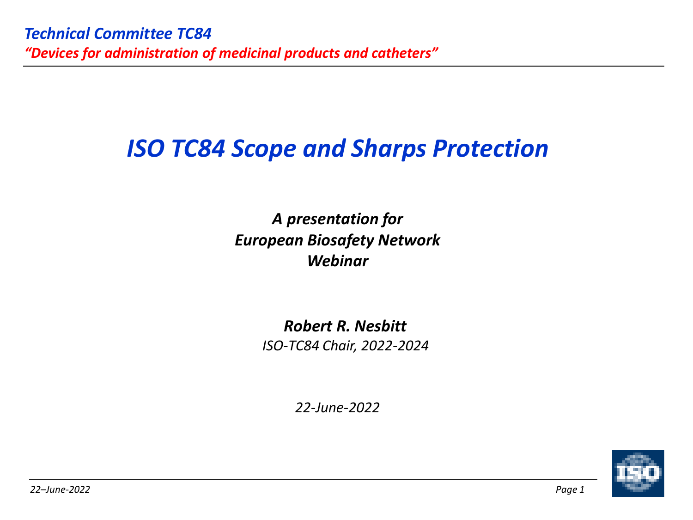# *ISO TC84 Scope and Sharps Protection*

*A presentation for European Biosafety Network Webinar*

> *Robert R. Nesbitt ISO-TC84 Chair, 2022-2024*

*22-June-2022*

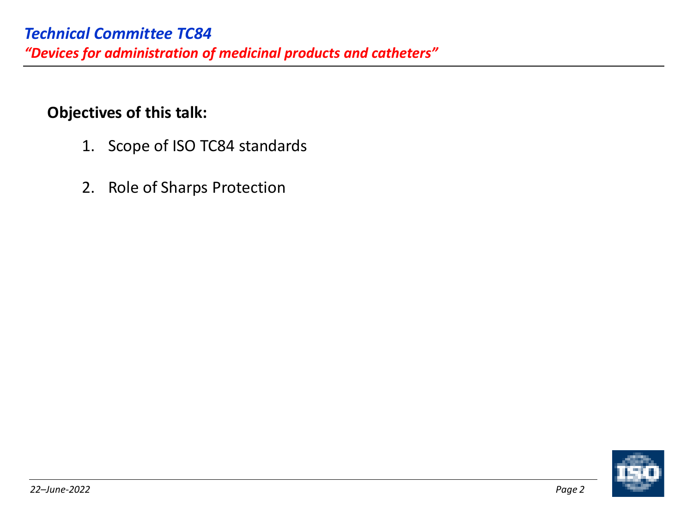### **Objectives of this talk:**

- 1. Scope of ISO TC84 standards
- 2. Role of Sharps Protection

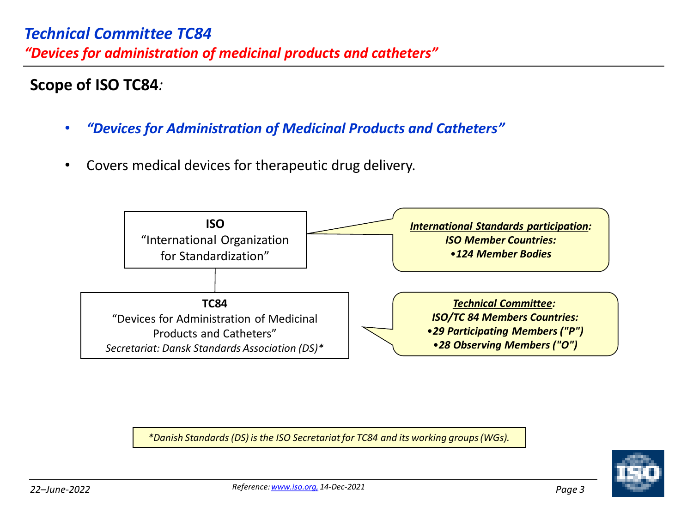## **Scope of ISO TC84***:*

- *"Devices for Administration of Medicinal Products and Catheters"*
- Covers medical devices for therapeutic drug delivery.



*\*Danish Standards (DS) is the ISO Secretariat for TC84 and its working groups (WGs).*

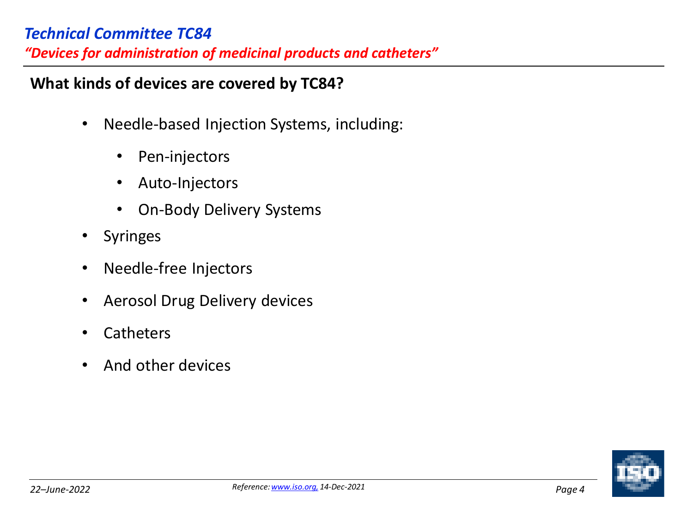### *Technical Committee TC84*

*"Devices for administration of medicinal products and catheters"*

### **What kinds of devices are covered by TC84?**

- Needle-based Injection Systems, including:
	- Pen-injectors
	- Auto-Injectors
	- On-Body Delivery Systems
- **Syringes**
- Needle-free Injectors
- Aerosol Drug Delivery devices
- **Catheters**
- And other devices

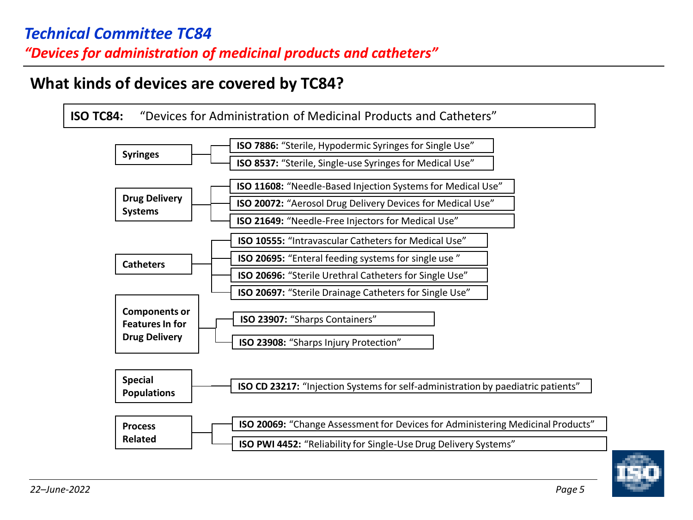## **What kinds of devices are covered by TC84?**



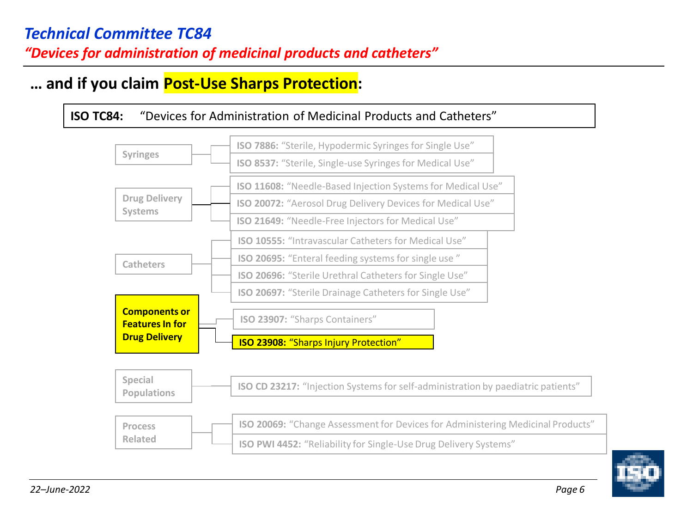## **… and if you claim Post-Use Sharps Protection:**



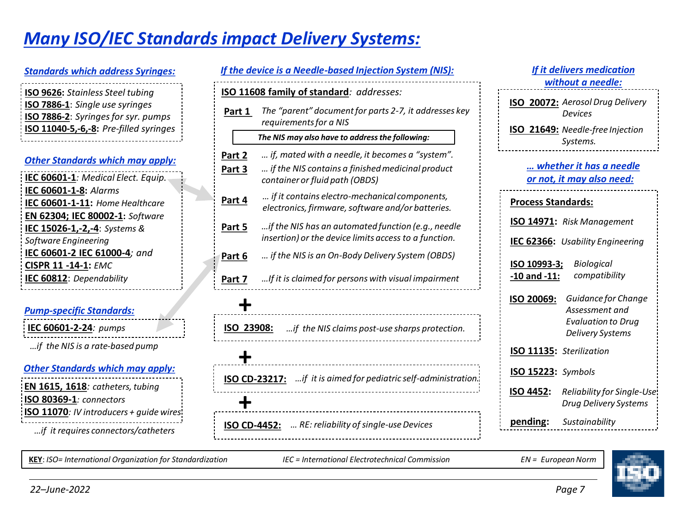# *Many ISO/IEC Standards impact Delivery Systems:*

#### *Standards which address Syringes:*

| <b>ISO 9626:</b> Stainless Steel tubing |
|-----------------------------------------|
| ISO 7886-1: Single use syringes         |
| ISO 7886-2: Syringes for syr. pumps     |
| ISO 11040-5,-6,-8: Pre-filled syringes  |
|                                         |

#### *Other Standards which may apply:*

| IEC 60601-1: Medical Elect. Equip. |
|------------------------------------|
| IEC 60601-1-8: Alarms              |
| IEC 60601-1-11: Home Healthcare    |
| EN 62304; IEC 80002-1: Software    |
| IEC 15026-1,-2,-4: Systems &       |
| Software Engineering               |
| IEC 60601-2 IEC 61000-4; and       |
| <b>CISPR 11 -14-1: EMC</b>         |
| IEC 60812: Dependability           |
|                                    |

#### *Pump-specific Standards:*

**IEC 60601-2-24***: pumps*

*…if the NIS is a rate-based pump*

#### *Other Standards which may apply:*

**EN 1615, 1618***: catheters, tubing* **ISO 80369-1***: connectors* **ISO 11070***: IV introducers + guide wires …if it requires connectors/catheters*

|              | If the device is a Needle-based Injection System (NIS):                                            |                          |
|--------------|----------------------------------------------------------------------------------------------------|--------------------------|
|              | ISO 11608 family of standard: addresses:                                                           |                          |
| Part 1       | The "parent" document for parts 2-7, it addresses key<br>requirements for a NIS                    | <b>ISC</b><br><b>ISC</b> |
|              | The NIS may also have to address the following:                                                    |                          |
| Part 2       | if, mated with a needle, it becomes a "system".                                                    |                          |
| Part 3       | if the NIS contains a finished medicinal product<br>container or fluid path (OBDS)                 |                          |
| Part 4       | if it contains electro-mechanical components,<br>electronics, firmware, software and/or batteries. | Pro                      |
| Part 5       | if the NIS has an automated function (e.g., needle                                                 | IS <sub>C</sub>          |
|              | insertion) or the device limits access to a function.                                              | IE <sub>C</sub>          |
| Part 6       | if the NIS is an On-Body Delivery System (OBDS)                                                    | ISC                      |
| Part 7       | If it is claimed for persons with visual impairment                                                | <u>-10</u>               |
|              |                                                                                                    | <b>ISC</b>               |
| ISO 23908:   | if the NIS claims post-use sharps protection.                                                      |                          |
|              |                                                                                                    | IS <sub>C</sub>          |
|              | <b>ISO CD-23217:</b> if it is aimed for pediatric self-administration.                             | <u>ISC</u><br><b>ISC</b> |
|              |                                                                                                    |                          |
| ISO CD-4452: | RE: reliability of single-use Devices                                                              | <u>pe</u>                |
|              |                                                                                                    |                          |

### **ISO 20072:** *Aerosol Drug Delivery Devices* **ISO 21649:** *Needle-free Injection Systems. If it delivers medication without a needle: … whether it has a needle*

### **ISO 20069:** *Guidance for Change Assessment and Evaluation to Drug Delivery Systems* **IEC 62366:** *Usability Engineering* **Process Standards: ISO 10993-3; -10 and -11:** *Biological compatibility* **O 14971:** Risk Management *or not, it may also need:* **ISO 11135:** *Sterilization* **ISO 15223:** *Symbols* **pending:** *Sustainability* **ISO 4452:** *Reliability for Single-Use Drug Delivery Systems*

**KEY**: *ISO= International Organization for Standardization IEC = International Electrotechnical Commission EN = European Norm* 

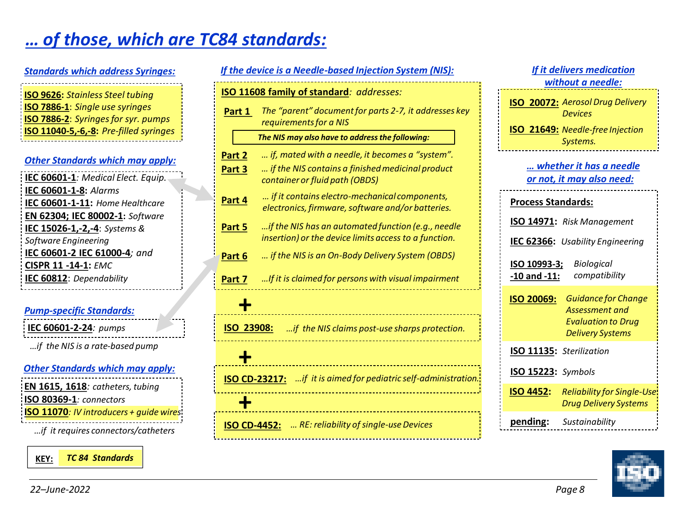# *… of those, which are TC84 standards:*

| <b>Standards which address Syringes:</b>   |  |  |
|--------------------------------------------|--|--|
| <b>ISO 9626:</b> Stainless Steel tubing    |  |  |
| <b>ISO 7886-1:</b> Single use syringes     |  |  |
| <b>ISO 7886-2:</b> Syringes for syr. pumps |  |  |
| ISO 11040-5,-6,-8: Pre-filled syringes     |  |  |
|                                            |  |  |

#### *Other Standards which may apply:*

| IEC 60601-1: Medical Elect. Equip. |
|------------------------------------|
| IEC 60601-1-8: Alarms              |
| IEC 60601-1-11: Home Healthcare    |
| EN 62304; IEC 80002-1: Software    |
| IEC 15026-1,-2,-4: Systems &       |
| Software Engineering               |
| IEC 60601-2 IEC 61000-4; and       |
| <b>CISPR 11 -14-1: EMC</b>         |
| IEC 60812: Dependability           |
|                                    |

#### *Pump-specific Standards:*

**IEC 60601-2-24***: pumps*

*…if the NIS is a rate-based pump*

#### *Other Standards which may apply:*

| EN 1615, 1618: catheters, tubing                |
|-------------------------------------------------|
| ISO 80369-1: connectors                         |
| <b>ISO 11070</b> : IV introducers + guide wires |
| if it requires connectors/catheters             |



| If the device is a Needle-based Injection System (NIS):                |                                                                                                             |  |  |
|------------------------------------------------------------------------|-------------------------------------------------------------------------------------------------------------|--|--|
|                                                                        | <b>ISO 11608 family of standard: addresses:</b>                                                             |  |  |
| Part 1                                                                 | The "parent" document for parts 2-7, it addresses key<br>requirements for a NIS                             |  |  |
|                                                                        | The NIS may also have to address the following:                                                             |  |  |
| Part 2                                                                 | if, mated with a needle, it becomes a "system".                                                             |  |  |
| Part 3                                                                 | if the NIS contains a finished medicinal product<br>container or fluid path (OBDS)                          |  |  |
| Part 4                                                                 | if it contains electro-mechanical components,<br>electronics, firmware, software and/or batteries.          |  |  |
| Part 5                                                                 | if the NIS has an automated function (e.g., needle<br>insertion) or the device limits access to a function. |  |  |
| Part 6                                                                 | if the NIS is an On-Body Delivery System (OBDS)                                                             |  |  |
| Part 7                                                                 | If it is claimed for persons with visual impairment                                                         |  |  |
|                                                                        |                                                                                                             |  |  |
|                                                                        | ISO 23908:<br>if the NIS claims post-use sharps protection.                                                 |  |  |
|                                                                        |                                                                                                             |  |  |
| <b>ISO CD-23217:</b> if it is aimed for pediatric self-administration. |                                                                                                             |  |  |
|                                                                        |                                                                                                             |  |  |
|                                                                        | RE: reliability of single-use Devices<br><b>ISO CD-4452:</b>                                                |  |  |
|                                                                        |                                                                                                             |  |  |

### **ISO 20072:** *Aerosol Drug Delivery Devices* **ISO 21649:** *Needle-free Injection Systems. If it delivers medication without a needle:* **ISO 20069:** *Guidance for Change Assessment and Evaluation to Drug Delivery Systems* **IEC 62366:** *Usability Engineering* **Process Standards: ISO 10993-3; -10 and -11:** *Biological compatibility* **ISO 14971:** *Risk Management … whether it has a needle or not, it may also need:* **ISO 11135:** *Sterilization* **ISO 15223:** *Symbols* **pending:** *Sustainability* **ISO 4452:** *Reliability for Single-Use Drug Delivery Systems*

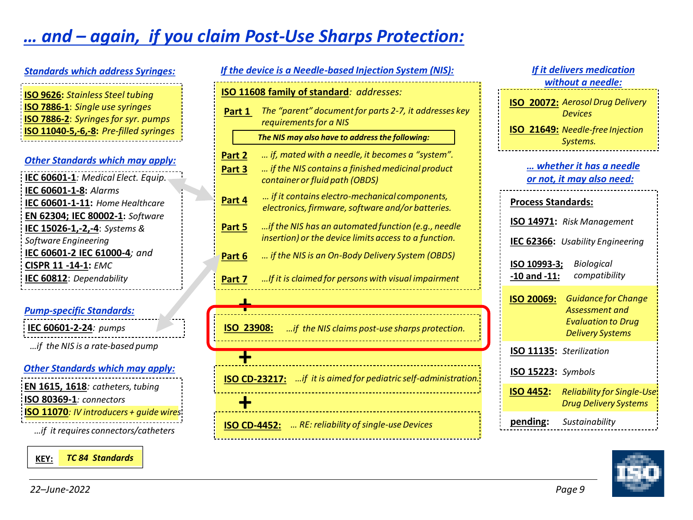# *… and – again, if you claim Post-Use Sharps Protection:*

### *Other Standards which may apply: Standards which address Syringes:* **ISO 9626:** *Stainless Steel tubing* **ISO 7886-1**: *Single use syringes* **ISO 7886-2**: *Syringes for syr. pumps* **ISO 11040-5,-6,-8:** *Pre-filled syringes*

| IEC 60601-1: Medical Elect. Equip. |
|------------------------------------|
| IEC 60601-1-8: Alarms              |
|                                    |
| IEC 60601-1-11: Home Healthcare    |
| EN 62304; IEC 80002-1: Software    |
| IEC 15026-1,-2,-4: Systems &       |
| Software Engineering               |
| IEC 60601-2 IEC 61000-4; and       |
| <b>CISPR 11 -14-1: EMC</b>         |
| IEC 60812: Dependability           |
|                                    |

#### *Pump-specific Standards:*

**IEC 60601-2-24***: pumps*

*…if the NIS is a rate-based pump*

#### *Other Standards which may apply:*

**EN 1615, 1618***: catheters, tubing* **ISO 80369-1***: connectors* **ISO 11070***: IV introducers + guide wires …if it requires connectors/catheters*

**KEY:** *TC 84 Standards*

|                                                                           | If the device is a Needle-based Injection System (NIS):                                                     |  |  |
|---------------------------------------------------------------------------|-------------------------------------------------------------------------------------------------------------|--|--|
| <b>ISO 11608 family of standard: addresses:</b>                           |                                                                                                             |  |  |
| Part 1                                                                    | The "parent" document for parts 2-7, it addresses key<br>requirements for a NIS                             |  |  |
|                                                                           | The NIS may also have to address the following:                                                             |  |  |
| Part 2                                                                    | if, mated with a needle, it becomes a "system".                                                             |  |  |
| Part 3                                                                    | if the NIS contains a finished medicinal product<br>container or fluid path (OBDS)                          |  |  |
| Part 4                                                                    | if it contains electro-mechanical components,<br>electronics, firmware, software and/or batteries.          |  |  |
| Part 5                                                                    | if the NIS has an automated function (e.g., needle<br>insertion) or the device limits access to a function. |  |  |
| Part 6                                                                    | if the NIS is an On-Body Delivery System (OBDS)                                                             |  |  |
| Part 7                                                                    | If it is claimed for persons with visual impairment                                                         |  |  |
|                                                                           |                                                                                                             |  |  |
| ISO 23908:<br>if the NIS claims post-use sharps protection.               |                                                                                                             |  |  |
|                                                                           |                                                                                                             |  |  |
| if it is aimed for pediatric self-administration.<br><b>ISO CD-23217:</b> |                                                                                                             |  |  |
|                                                                           |                                                                                                             |  |  |
| <b>ISO CD-4452:</b>                                                       | RE: reliability of single-use Devices                                                                       |  |  |

### **ISO 20072:** *Aerosol Drug Delivery Devices* **ISO 21649:** *Needle-free Injection Systems. If it delivers medication without a needle:* **ISO 20069:** *Guidance for Change Assessment and Evaluation to Drug Delivery Systems* **IEC 62366:** *Usability Engineering* **Process Standards: ISO 10993-3; -10 and -11:** *Biological compatibility* **ISO 14971:** *Risk Management … whether it has a needle or not, it may also need:* **ISO 11135:** *Sterilization* **ISO 15223:** *Symbols* **pending:** *Sustainability* **ISO 4452:** *Reliability for Single-Use Drug Delivery Systems*

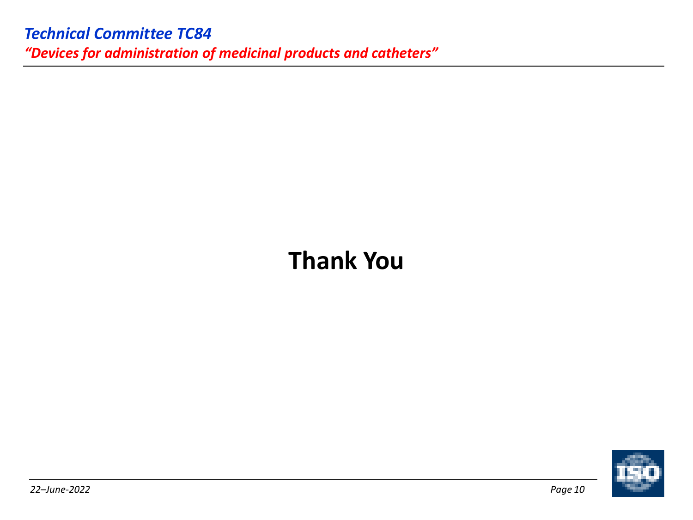# **Thank You**